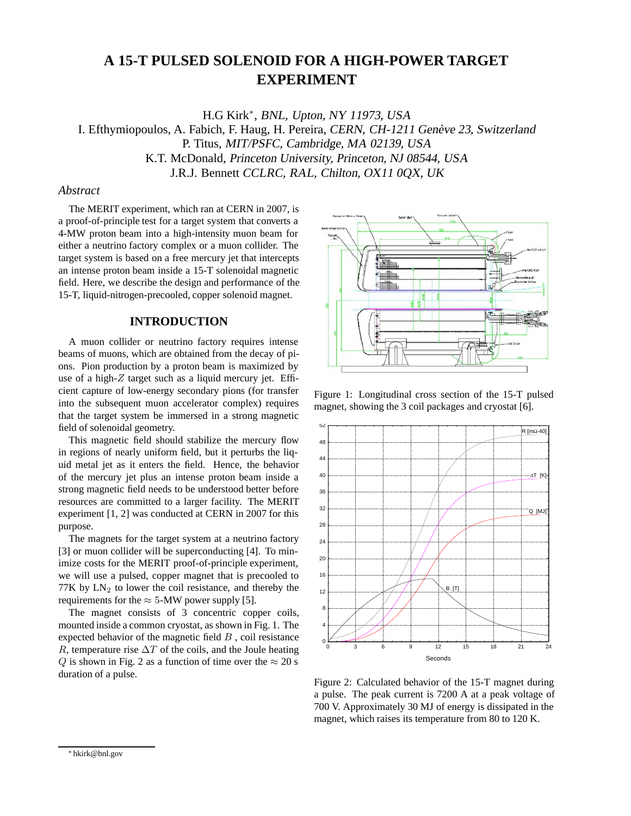# **A 15-T PULSED SOLENOID FOR A HIGH-POWER TARGET EXPERIMENT**

H.G Kirk∗, BNL, Upton, NY 11973, USA I. Efthymiopoulos, A. Fabich, F. Haug, H. Pereira, CERN, CH-1211 Genève 23, Switzerland P. Titus, MIT/PSFC, Cambridge, MA 02139, USA K.T. McDonald, Princeton University, Princeton, NJ 08544, USA J.R.J. Bennett CCLRC, RAL, Chilton, OX11 0QX, UK

### *Abstract*

The MERIT experiment, which ran at CERN in 2007, is a proof-of-principle test for a target system that converts a 4-MW proton beam into a high-intensity muon beam for either a neutrino factory complex or a muon collider. The target system is based on a free mercury jet that intercepts an intense proton beam inside a 15-T solenoidal magnetic field. Here, we describe the design and performance of the 15-T, liquid-nitrogen-precooled, copper solenoid magnet.

#### **INTRODUCTION**

A muon collider or neutrino factory requires intense beams of muons, which are obtained from the decay of pions. Pion production by a proton beam is maximized by use of a high-*Z* target such as a liquid mercury jet. Efficient capture of low-energy secondary pions (for transfer into the subsequent muon accelerator complex) requires that the target system be immersed in a strong magnetic field of solenoidal geometry.

This magnetic field should stabilize the mercury flow in regions of nearly uniform field, but it perturbs the liquid metal jet as it enters the field. Hence, the behavior of the mercury jet plus an intense proton beam inside a strong magnetic field needs to be understood better before resources are committed to a larger facility. The MERIT experiment [1, 2] was conducted at CERN in 2007 for this purpose.

The magnets for the target system at a neutrino factory [3] or muon collider will be superconducting [4]. To minimize costs for the MERIT proof-of-principle experiment, we will use a pulsed, copper magnet that is precooled to 77K by  $LN<sub>2</sub>$  to lower the coil resistance, and thereby the requirements for the  $\approx 5$ -MW power supply [5].

The magnet consists of 3 concentric copper coils, mounted inside a common cryostat, as shown in Fig. 1. The expected behavior of the magnetic field *B* , coil resistance *R*, temperature rise  $\Delta T$  of the coils, and the Joule heating *Q* is shown in Fig. 2 as a function of time over the  $\approx$  20 s duration of a pulse.



Figure 1: Longitudinal cross section of the 15-T pulsed magnet, showing the 3 coil packages and cryostat [6].



Figure 2: Calculated behavior of the 15-T magnet during a pulse. The peak current is 7200 A at a peak voltage of 700 V. Approximately 30 MJ of energy is dissipated in the magnet, which raises its temperature from 80 to 120 K.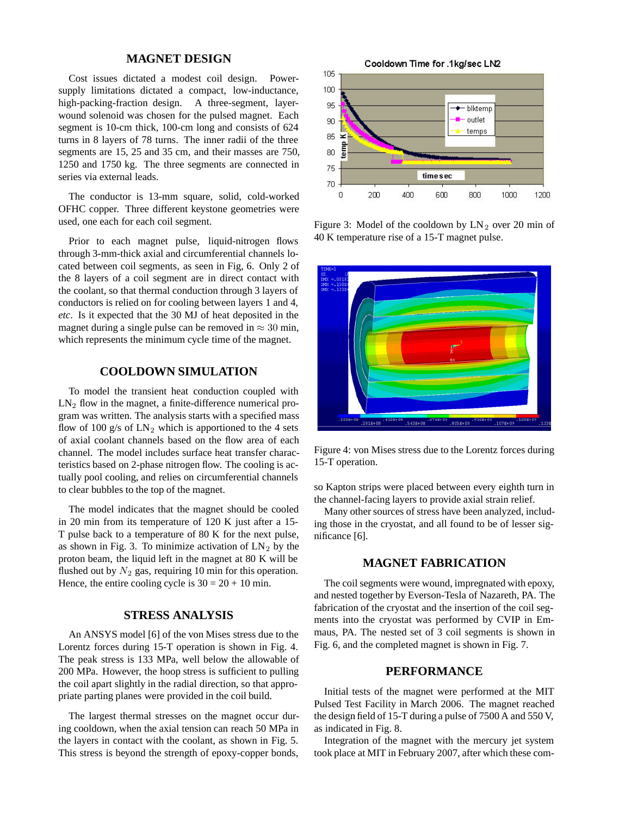# **MAGNET DESIGN**

Cost issues dictated a modest coil design. Powersupply limitations dictated a compact, low-inductance, high-packing-fraction design. A three-segment, layerwound solenoid was chosen for the pulsed magnet. Each segment is 10-cm thick, 100-cm long and consists of 624 turns in 8 layers of 78 turns. The inner radii of the three segments are 15, 25 and 35 cm, and their masses are 750, 1250 and 1750 kg. The three segments are connected in series via external leads.

The conductor is 13-mm square, solid, cold-worked OFHC copper. Three different keystone geometries were used, one each for each coil segment.

Prior to each magnet pulse, liquid-nitrogen flows through 3-mm-thick axial and circumferential channels located between coil segments, as seen in Fig, 6. Only 2 of the 8 layers of a coil segment are in direct contact with the coolant, so that thermal conduction through 3 layers of conductors is relied on for cooling between layers 1 and 4, *etc*. Is it expected that the 30 MJ of heat deposited in the magnet during a single pulse can be removed in  $\approx 30$  min, which represents the minimum cycle time of the magnet.

#### **COOLDOWN SIMULATION**

To model the transient heat conduction coupled with  $LN<sub>2</sub>$  flow in the magnet, a finite-difference numerical program was written. The analysis starts with a specified mass flow of 100 g/s of  $LN_2$  which is apportioned to the 4 sets of axial coolant channels based on the flow area of each channel. The model includes surface heat transfer characteristics based on 2-phase nitrogen flow. The cooling is actually pool cooling, and relies on circumferential channels to clear bubbles to the top of the magnet.

The model indicates that the magnet should be cooled in 20 min from its temperature of 120 K just after a 15- T pulse back to a temperature of 80 K for the next pulse, as shown in Fig. 3. To minimize activation of  $LN_2$  by the proton beam, the liquid left in the magnet at 80 K will be flushed out by  $N_2$  gas, requiring 10 min for this operation. Hence, the entire cooling cycle is  $30 = 20 + 10$  min.

## **STRESS ANALYSIS**

An ANSYS model [6] of the von Mises stress due to the Lorentz forces during 15-T operation is shown in Fig. 4. The peak stress is 133 MPa, well below the allowable of 200 MPa. However, the hoop stress is sufficient to pulling the coil apart slightly in the radial direction, so that appropriate parting planes were provided in the coil build.

The largest thermal stresses on the magnet occur during cooldown, when the axial tension can reach 50 MPa in the layers in contact with the coolant, as shown in Fig. 5. This stress is beyond the strength of epoxy-copper bonds,



Figure 3: Model of the cooldown by  $LN_2$  over 20 min of 40 K temperature rise of a 15-T magnet pulse.



Figure 4: von Mises stress due to the Lorentz forces during 15-T operation.

so Kapton strips were placed between every eighth turn in the channel-facing layers to provide axial strain relief.

Many other sources of stress have been analyzed, including those in the cryostat, and all found to be of lesser significance [6].

#### **MAGNET FABRICATION**

The coil segments were wound, impregnated with epoxy, and nested together by Everson-Tesla of Nazareth, PA. The fabrication of the cryostat and the insertion of the coil segments into the cryostat was performed by CVIP in Emmaus, PA. The nested set of 3 coil segments is shown in Fig. 6, and the completed magnet is shown in Fig. 7.

# **PERFORMANCE**

Initial tests of the magnet were performed at the MIT Pulsed Test Facility in March 2006. The magnet reached the design field of 15-T during a pulse of 7500 A and 550 V, as indicated in Fig. 8.

Integration of the magnet with the mercury jet system took place at MIT in February 2007, after which these com-